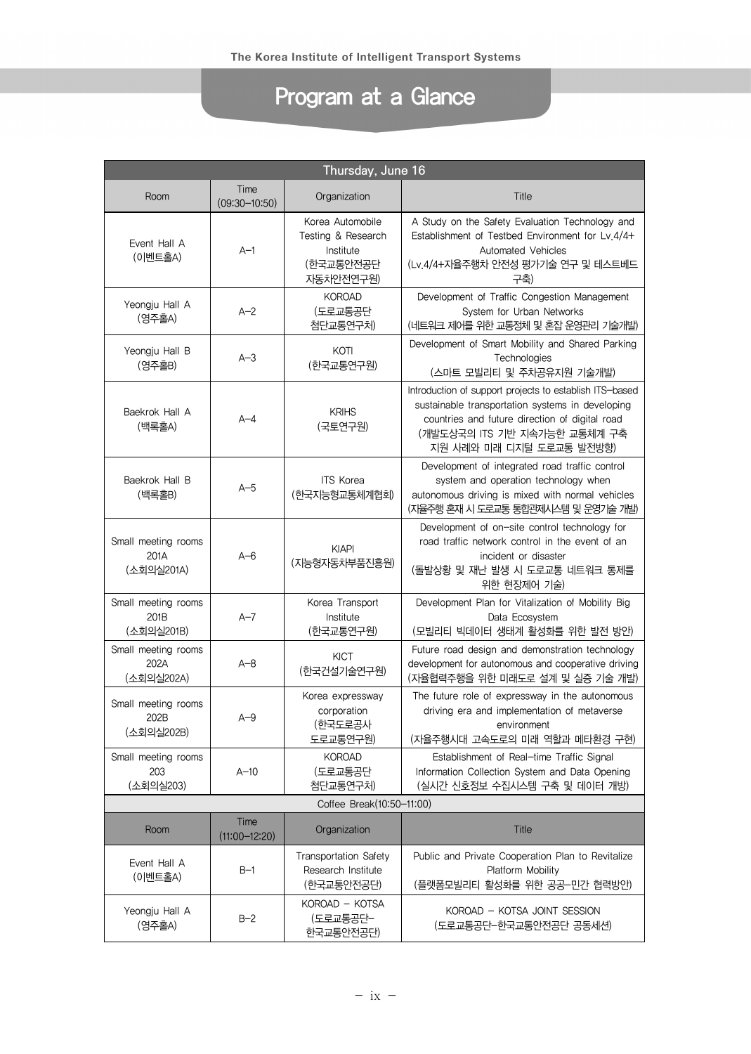## Program at a Glance

| Thursday, June 16                         |                           |                                                                               |                                                                                                                                                                                                                           |  |
|-------------------------------------------|---------------------------|-------------------------------------------------------------------------------|---------------------------------------------------------------------------------------------------------------------------------------------------------------------------------------------------------------------------|--|
| Room                                      | Time<br>$(09:30 - 10:50)$ | Organization                                                                  | Title                                                                                                                                                                                                                     |  |
| Event Hall A<br>(이벤트홀A)                   | $A-1$                     | Korea Automobile<br>Testing & Research<br>Institute<br>(한국교통안전공단<br>자동차안전연구원) | A Study on the Safety Evaluation Technology and<br>Establishment of Testbed Environment for Lv.4/4+<br>Automated Vehicles<br>(Lv.4/4+자율주행차 안전성 평가기술 연구 및 테스트베드<br>구축)                                                     |  |
| Yeongju Hall A<br>(영주홀A)                  | $A - 2$                   | <b>KOROAD</b><br>(도로교통공단<br>첨단교통연구처)                                          | Development of Traffic Congestion Management<br>System for Urban Networks<br>(네트워크 제어를 위한 교통정체 및 혼잡 운영관리 기술개발)                                                                                                            |  |
| Yeongju Hall B<br>(영주홀B)                  | $A-3$                     | KOTI<br>(한국교통연구원)                                                             | Development of Smart Mobility and Shared Parking<br>Technologies<br>(스마트 모빌리티 및 주차공유지원 기술개발)                                                                                                                              |  |
| Baekrok Hall A<br>(백록홀A)                  | $A - 4$                   | <b>KRIHS</b><br>(국토연구원)                                                       | Introduction of support projects to establish ITS-based<br>sustainable transportation systems in developing<br>countries and future direction of digital road<br>(개발도상국의 ITS 기반 지속가능한 교통체계 구축<br>지원 사례와 미래 디지털 도로교통 발전방향) |  |
| Baekrok Hall B<br>(백록홀B)                  | $A-5$                     | <b>ITS Korea</b><br>(한국지능형교통체계협회)                                             | Development of integrated road traffic control<br>system and operation technology when<br>autonomous driving is mixed with normal vehicles<br>(지율주행 혼재 시 도로교통 통합관제시스템 및 운영기술 개발)                                          |  |
| Small meeting rooms<br>201A<br>(소회의실201A) | $A - 6$                   | <b>KIAPI</b><br>(지능형자동차부품진흥원)                                                 | Development of on-site control technology for<br>road traffic network control in the event of an<br>incident or disaster<br>(돌발상황 및 재난 발생 시 도로교통 네트워크 통제를<br>위한 현장제어 기술)                                                  |  |
| Small meeting rooms<br>201B<br>(소회의실201B) | $A-7$                     | Korea Transport<br>Institute<br>(한국교통연구원)                                     | Development Plan for Vitalization of Mobility Big<br>Data Ecosystem<br>(모빌리티 빅데이터 생태계 활성화를 위한 발전 방안)                                                                                                                      |  |
| Small meeting rooms<br>202A<br>(소회의실202A) | $A - 8$                   | <b>KICT</b><br>(한국건설기술연구원)                                                    | Future road design and demonstration technology<br>development for autonomous and cooperative driving<br>(자율협력주행을 위한 미래도로 설계 및 실증 기술 개발)                                                                                  |  |
| Small meeting rooms<br>202B<br>(소회의실202B) | $A-9$                     | Korea expressway<br>corporation<br>(한국도로공사<br>도로교통연구원)                        | The future role of expressway in the autonomous<br>driving era and implementation of metaverse<br>environment<br>(자율주행시대 고속도로의 미래 역할과 메타환경 구현)                                                                            |  |
| Small meeting rooms<br>203<br>(소회의실203)   | $A-10$                    | <b>KOROAD</b><br>(도로교통공단<br>첨단교통연구처)                                          | Establishment of Real-time Traffic Signal<br>Information Collection System and Data Opening<br>(실시간 신호정보 수집시스템 구축 및 데이터 개방)                                                                                               |  |
| Coffee Break(10:50-11:00)                 |                           |                                                                               |                                                                                                                                                                                                                           |  |
| Room                                      | Time<br>$(11:00 - 12:20)$ | Organization                                                                  | <b>Title</b>                                                                                                                                                                                                              |  |
| Event Hall A<br>(이벤트홀A)                   | $B-1$                     | Transportation Safety<br>Research Institute<br>(한국교통안전공단)                     | Public and Private Cooperation Plan to Revitalize<br>Platform Mobility<br>(플랫폼모빌리티 활성화를 위한 공공-민간 협력방안)                                                                                                                    |  |
| Yeongju Hall A<br>(영주홀A)                  | $B-2$                     | KOROAD - KOTSA<br>(도로교통공단-<br>한국교통안전공단)                                       | KOROAD - KOTSA JOINT SESSION<br>(도로교통공단-한국교통안전공단 공동세션)                                                                                                                                                                    |  |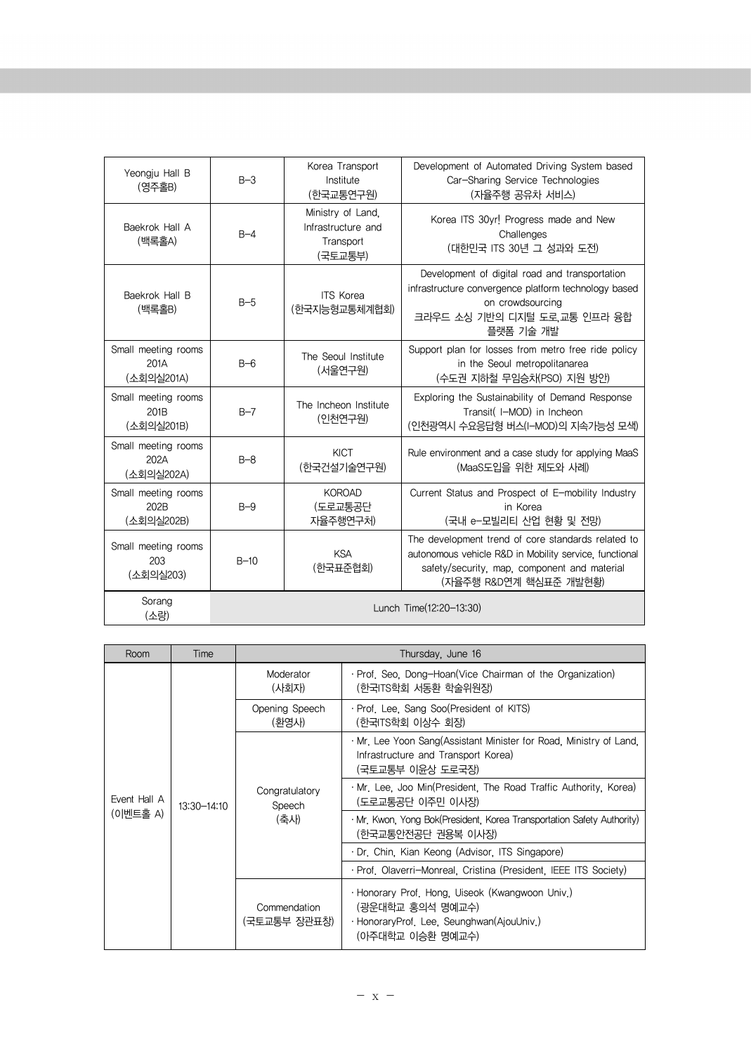| Yeongju Hall B<br>(영주홀B)                  | $B-3$                   | Korea Transport<br>Institute<br>(한국교통연구원)                       | Development of Automated Driving System based<br>Car-Sharing Service Technologies<br>(자율주행 공유차 서비스)                                                                                    |
|-------------------------------------------|-------------------------|-----------------------------------------------------------------|----------------------------------------------------------------------------------------------------------------------------------------------------------------------------------------|
| Baekrok Hall A<br>(백록홀A)                  | $B - 4$                 | Ministry of Land.<br>Infrastructure and<br>Transport<br>(국토교통부) | Korea ITS 30yr! Progress made and New<br>Challenges<br>(대한민국 ITS 30년 그 성과와 도전)                                                                                                         |
| Baekrok Hall B<br>(백록홀B)                  | $B-5$                   | <b>ITS Korea</b><br>(한국지능형교통체계협회)                               | Development of digital road and transportation<br>infrastructure convergence platform technology based<br>on crowdsourcing<br>크라우드 소싱 기반의 디지털 도로,교통 인프라 융합<br>플랫폼 기술 개발                |
| Small meeting rooms<br>201A<br>(소회의실201A) | $B-6$                   | The Seoul Institute<br>(서울연구원)                                  | Support plan for losses from metro free ride policy<br>in the Seoul metropolitanarea<br>(수도권 지하철 무임승차(PSO) 지원 방안)                                                                      |
| Small meeting rooms<br>201B<br>(소회의실201B) | $B-7$                   | The Incheon Institute<br>(인천연구원)                                | Exploring the Sustainability of Demand Response<br>Transit( I-MOD) in Incheon<br>(인천광역시 수요응답형 버스(I-MOD)의 지속가능성 모색)                                                                     |
| Small meeting rooms<br>202A<br>(소회의실202A) | $B - 8$                 | <b>KICT</b><br>(한국거설기술연구원)                                      | Rule environment and a case study for applying MaaS<br>(MaaS도입을 위한 제도와 사례)                                                                                                             |
| Small meeting rooms<br>202B<br>(소회의실202B) | $B-9$                   | <b>KOROAD</b><br>(도로교통공단<br>자율주행연구처)                            | Current Status and Prospect of E-mobility Industry<br>in Korea<br>(국내 e-모빌리티 산업 현황 및 전망)                                                                                               |
| Small meeting rooms<br>203<br>(소회의실203)   | $B-10$                  | <b>KSA</b><br>(한국표준협회)                                          | The development trend of core standards related to<br>autonomous vehicle R&D in Mobility service, functional<br>safety/security, map, component and material<br>(자율주행 R&D연계 핵심표준 개발현황) |
| Sorang<br>(소랑)                            | Lunch Time(12:20-13:30) |                                                                 |                                                                                                                                                                                        |

| Room                     | Time        | Thursday, June 16                |                                                                                                                                      |  |
|--------------------------|-------------|----------------------------------|--------------------------------------------------------------------------------------------------------------------------------------|--|
| Event Hall A<br>(이벤트홀 A) |             | Moderator<br>(사회자)               | · Prof. Seo, Dong-Hoan(Vice Chairman of the Organization)<br>(한국ITS학회 서동환 학술위원장)                                                     |  |
|                          |             | Opening Speech<br>(화영사)          | · Prof. Lee. Sang Soo(President of KITS)<br>(한국ITS학회 이상수 회장)                                                                         |  |
|                          |             | Congratulatory<br>Speech<br>(축사) | . Mr. Lee Yoon Sang (Assistant Minister for Road, Ministry of Land.<br>Infrastructure and Transport Korea)<br>(국토교통부 이윤상 도로국장)       |  |
|                          | 13:30-14:10 |                                  | · Mr. Lee, Joo Min(President, The Road Traffic Authority, Korea)<br>(도로교통공단 이주민 이사장)                                                 |  |
|                          |             |                                  | · Mr. Kwon, Yong Bok(President, Korea Transportation Safety Authority)<br>(한국교통안전공단 권용복 이사장)                                         |  |
|                          |             |                                  | · Dr. Chin, Kian Keong (Advisor, ITS Singapore)                                                                                      |  |
|                          |             |                                  | · Prof. Olaverri-Monreal. Cristina (President. IEEE ITS Society)                                                                     |  |
|                          |             | Commendation<br>(국토교통부 장관표창)     | · Honorary Prof. Hong. Uiseok (Kwangwoon Univ.)<br>(광운대학교 홍의석 명예교수)<br>· HonoraryProf. Lee, Seunghwan(AjouUniv.)<br>(아주대학교 이승환 명예교수) |  |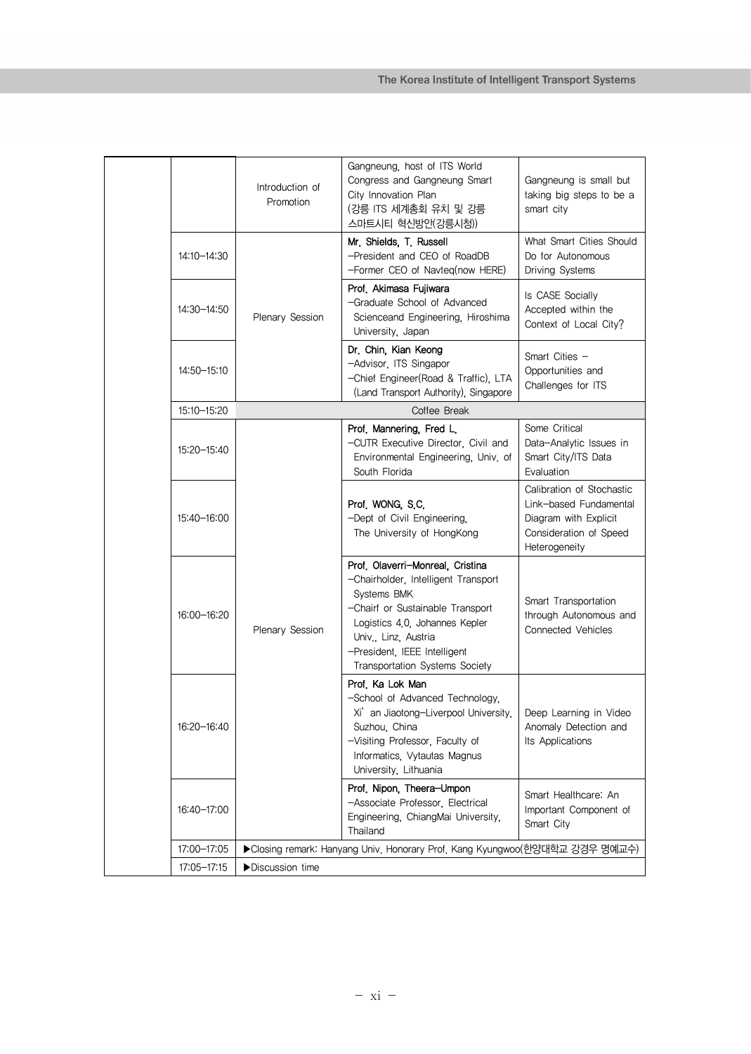|               | Introduction of<br>Promotion                                                | Gangneung, host of ITS World<br>Congress and Gangneung Smart<br>City Innovation Plan<br>(강릉 ITS 세계총회 유치 및 강릉<br>스마트시티 혁신방안(강릉시청))                                                                                                                      | Gangneung is small but<br>taking big steps to be a<br>smart city                                                        |
|---------------|-----------------------------------------------------------------------------|--------------------------------------------------------------------------------------------------------------------------------------------------------------------------------------------------------------------------------------------------------|-------------------------------------------------------------------------------------------------------------------------|
| 14:10-14:30   |                                                                             | Mr. Shields, T. Russell<br>-President and CEO of RoadDB<br>-Former CEO of Navteq(now HERE)                                                                                                                                                             | What Smart Cities Should<br>Do for Autonomous<br>Driving Systems                                                        |
| 14:30-14:50   | Plenary Session                                                             | Prof, Akimasa Fujiwara<br>-Graduate School of Advanced<br>Scienceand Engineering, Hiroshima<br>University, Japan                                                                                                                                       | Is CASE Socially<br>Accepted within the<br>Context of Local City?                                                       |
| 14:50-15:10   |                                                                             | Dr. Chin, Kian Keong<br>-Advisor, ITS Singapor<br>-Chief Engineer(Road & Traffic), LTA<br>(Land Transport Authority), Singapore                                                                                                                        | Smart Cities -<br>Opportunities and<br>Challenges for ITS                                                               |
| 15:10-15:20   |                                                                             | Coffee Break                                                                                                                                                                                                                                           |                                                                                                                         |
| 15:20 - 15:40 |                                                                             | Prof. Mannering, Fred L.<br>-CUTR Executive Director, Civil and<br>Environmental Engineering, Univ. of<br>South Florida                                                                                                                                | Some Critical<br>Data-Analytic Issues in<br>Smart City/ITS Data<br>Evaluation                                           |
| 15:40-16:00   |                                                                             | Prof. WONG, S.C.<br>-Dept of Civil Engineering,<br>The University of HongKong                                                                                                                                                                          | Calibration of Stochastic<br>Link-based Fundamental<br>Diagram with Explicit<br>Consideration of Speed<br>Heterogeneity |
| 16:00-16:20   | Plenary Session                                                             | Prof. Olaverri-Monreal, Cristina<br>-Chairholder, Intelligent Transport<br>Systems BMK<br>-Chairf or Sustainable Transport<br>Logistics 4.0, Johannes Kepler<br>Univ., Linz, Austria<br>-President, IEEE Intelligent<br>Transportation Systems Society | Smart Transportation<br>through Autonomous and<br><b>Connected Vehicles</b>                                             |
| 16:20-16:40   |                                                                             | Prof, Ka Lok Man<br>-School of Advanced Technology.<br>Xi' an Jiaotong-Liverpool University,<br>Suzhou, China<br>-Visiting Professor, Faculty of<br>Informatics, Vytautas Magnus<br>University, Lithuania                                              | Deep Learning in Video<br>Anomaly Detection and<br>Its Applications                                                     |
| 16:40-17:00   |                                                                             | Prof. Nipon, Theera-Umpon<br>-Associate Professor, Electrical<br>Engineering, ChiangMai University,<br>Thailand                                                                                                                                        | Smart Healthcare: An<br>Important Component of<br>Smart City                                                            |
| 17:00-17:05   | ▶Closing remark: Hanyang Univ. Honorary Prof. Kang Kyungwoo(한양대학교 강경우 명예교수) |                                                                                                                                                                                                                                                        |                                                                                                                         |
| 17:05-17:15   | Discussion time                                                             |                                                                                                                                                                                                                                                        |                                                                                                                         |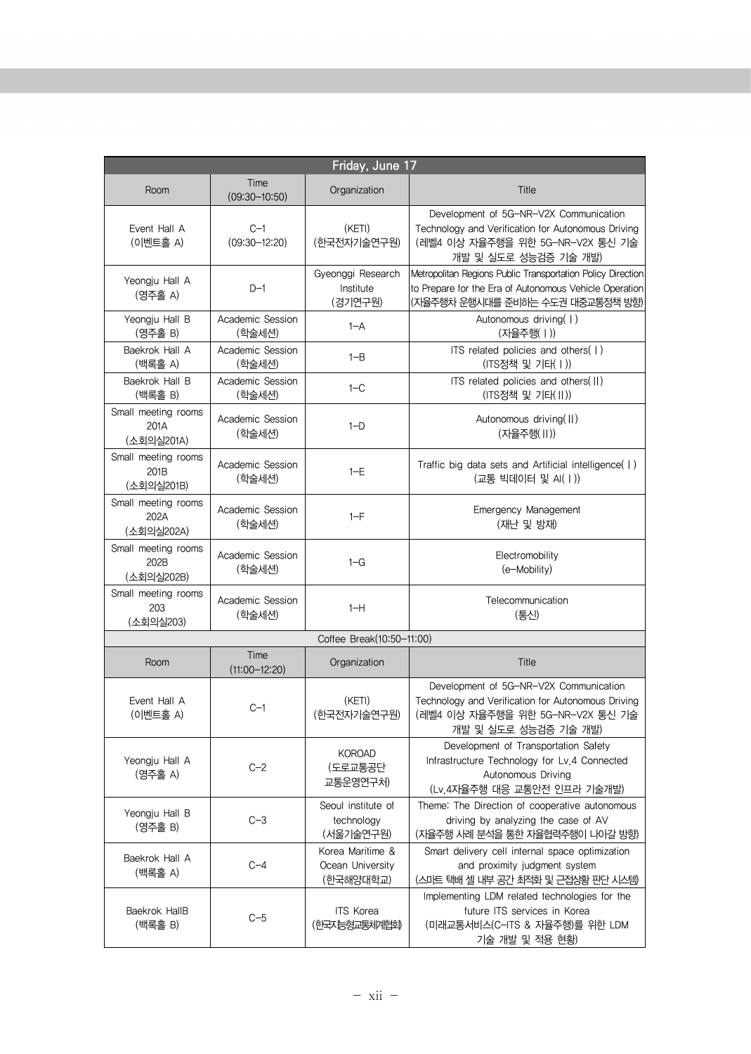| Friday, June 17                           |                            |                                                   |                                                                                                                                                           |  |
|-------------------------------------------|----------------------------|---------------------------------------------------|-----------------------------------------------------------------------------------------------------------------------------------------------------------|--|
| Room                                      | Time<br>$(09:30 - 10:50)$  | Organization                                      | <b>Title</b>                                                                                                                                              |  |
| Event Hall A<br>(이벤트홀 A)                  | $C-1$<br>$(09:30 - 12:20)$ | (KETI)<br>(한국전자기술연구원)                             | Development of 5G-NR-V2X Communication<br>Technology and Verification for Autonomous Driving<br>(레벨4 이상 자율주행을 위한 5G-NR-V2X 통신 기술<br>개발 및 실도로 성능검증 기술 개발)  |  |
| Yeongju Hall A<br>(영주홀 A)                 | $D-1$                      | Gyeonggi Research<br>Institute<br>(경기연구원)         | Metropolitan Regions Public Transportation Policy Direction<br>to Prepare for the Era of Autonomous Vehicle Operation<br>(자율주행차 운행시대를 준비하는 수도권 대중교통정책 방향) |  |
| Yeongju Hall B<br>(영주홀 B)                 | Academic Session<br>(학술세션) | $1 - A$                                           | Autonomous driving(1)<br>(자율주행(   ))                                                                                                                      |  |
| Baekrok Hall A<br>(백록홀 A)                 | Academic Session<br>(학술세션) | $1 - B$                                           | ITS related policies and others(  )<br>(ITS정책 및 기타( I ))                                                                                                  |  |
| Baekrok Hall B<br>(백록홀 B)                 | Academic Session<br>(학술세션) | $1-C$                                             | ITS related policies and others(II)<br>(ITS정책 및 기타(II))                                                                                                   |  |
| Small meeting rooms<br>201A<br>(소회의실201A) | Academic Session<br>(학술세션) | $1-D$                                             | Autonomous driving(II)<br>(자율주행(Ⅱ))                                                                                                                       |  |
| Small meeting rooms<br>201B<br>(소회의실201B) | Academic Session<br>(학술세션) | $1-E$                                             | Traffic big data sets and Artificial intelligence(  )<br>(교통 빅데이터 및 AI(I))                                                                                |  |
| Small meeting rooms<br>202A<br>(소회의실202A) | Academic Session<br>(학술세션) | $1-F$                                             | Emergency Management<br>(재난 및 방재)                                                                                                                         |  |
| Small meeting rooms<br>202B<br>(소회의실202B) | Academic Session<br>(학술세션) | $1-G$                                             | Electromobility<br>(e-Mobility)                                                                                                                           |  |
| Small meeting rooms<br>203<br>(소회의실203)   | Academic Session<br>(학술세션) | $1-H$                                             | Telecommunication<br>(통신)                                                                                                                                 |  |
|                                           |                            | Coffee Break(10:50-11:00)                         |                                                                                                                                                           |  |
| Room                                      | Time<br>$(11:00 - 12:20)$  | Organization                                      | Title                                                                                                                                                     |  |
| Event Hall A<br>(이벤트홀 A)                  | $C-1$                      | (KETI)<br>(한국전자기술연구원)                             | Development of 5G-NR-V2X Communication<br>Technology and Verification for Autonomous Driving<br>(레벨4 이상 자율주행을 위한 5G-NR-V2X 통신 기술<br>개발 및 실도로 성능검증 기술 개발)  |  |
| Yeongju Hall A<br>(영주홀 A)                 | $C-2$                      | <b>KOROAD</b><br>(도로교통공단<br>교통운영연구처)              | Development of Transportation Safety<br>Infrastructure Technology for Lv.4 Connected<br>Autonomous Driving<br>(Lv. 4자율주행 대응 교통안전 인프라 기술개발)                |  |
| Yeongju Hall B<br>(영주홀 B)                 | $C-3$                      | Seoul institute of<br>technology<br>(서울기술연구원)     | Theme: The Direction of cooperative autonomous<br>driving by analyzing the case of AV<br>(자율주행 사례 분석을 통한 자율협력주행이 나아갈 방향)                                  |  |
| Baekrok Hall A<br>(백록홀 A)                 | $C-4$                      | Korea Maritime &<br>Ocean University<br>(한국해양대학교) | Smart delivery cell internal space optimization<br>and proximity judgment system<br>(스마트 택배 셀 내부 공간 최적화 및 근접상황 판단 시스템)                                    |  |
| Baekrok HallB<br>(백록홀 B)                  | $C-5$                      | <b>ITS Korea</b><br>한국자능형교통체계협회                   | Implementing LDM related technologies for the<br>future ITS services in Korea<br>(미래교통서비스(C-ITS & 자율주행)를 위한 LDM<br>기술 개발 및 적용 현황)                         |  |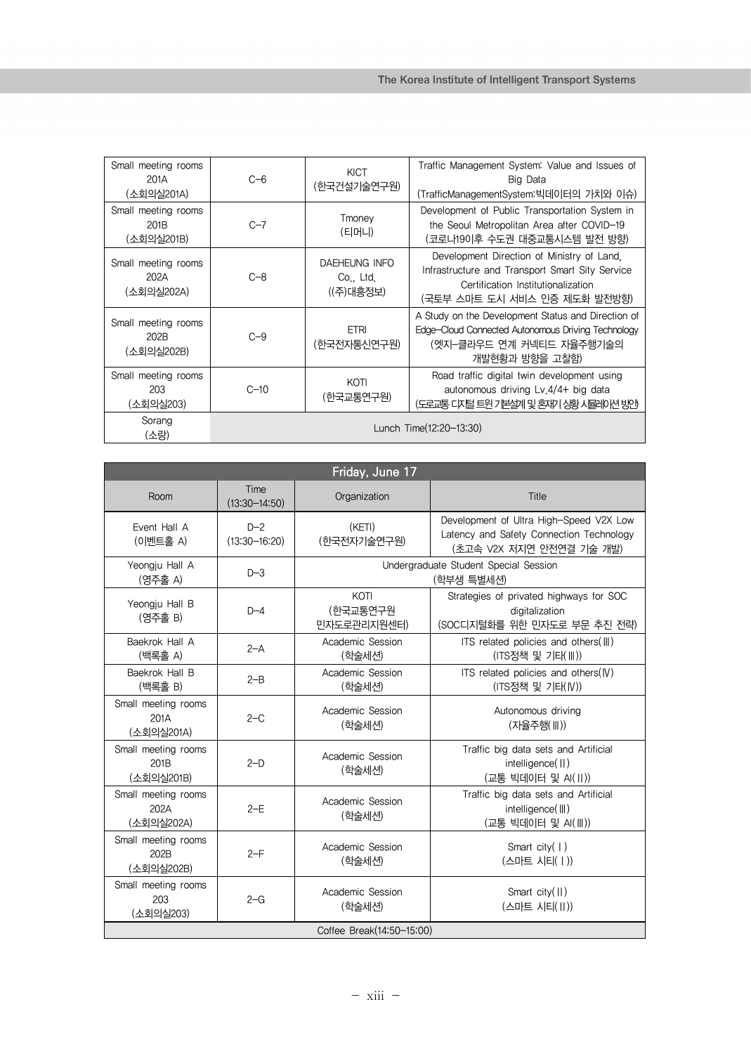| Small meeting rooms<br>201A<br>(소회의실201A) | $C=6$                   | <b>KICT</b><br>(한국건설기술연구원)                     | Traffic Management System: Value and Issues of<br>Big Data<br>(TrafficManagementSystem:빅데이터의 가치와 이슈)                                                                |
|-------------------------------------------|-------------------------|------------------------------------------------|---------------------------------------------------------------------------------------------------------------------------------------------------------------------|
| Small meeting rooms<br>201B<br>(소회의실201B) | $C-7$                   | Tmoney<br>(티머니)                                | Development of Public Transportation System in<br>the Seoul Metropolitan Area after COVID-19<br>(코로나19이후 수도권 대중교통시스템 발전 방향)                                         |
| Small meeting rooms<br>202A<br>(소회의실202A) | $C - 8$                 | <b>DAEHEUNG INFO</b><br>Co., Ltd.<br>((주)대흥정보) | Development Direction of Ministry of Land.<br>Infrastructure and Transport Smart Sity Service<br>Certification Institutionalization<br>(국토부 스마트 도시 서비스 인증 제도화 발전방향) |
| Small meeting rooms<br>202B<br>(소회의실202B) | $C - 9$                 | <b>ETRI</b><br>(한국전자통신연구원)                     | A Study on the Development Status and Direction of<br>Edge-Cloud Connected Autonomous Driving Technology<br>(엣지-클라우드 연계 커넥티드 자율주행기술의<br>개발현황과 방향을 고찰함)              |
| Small meeting rooms<br>203<br>(소회의실203)   | $C - 10$                | KOTI<br>(한국교통연구원)                              | Road traffic digital twin development using<br>autonomous driving Lv.4/4+ big data<br>(도로교통 다지털 트윈 기본설계 및 혼재기 상황 사물레이션 방안)                                          |
| Sorang<br>(소랑)                            | Lunch Time(12:20-13:30) |                                                |                                                                                                                                                                     |

| Friday, June 17                           |                            |                                                     |                                                                                                                 |  |
|-------------------------------------------|----------------------------|-----------------------------------------------------|-----------------------------------------------------------------------------------------------------------------|--|
| Room                                      | Time<br>$(13:30 - 14:50)$  | Organization                                        | Title                                                                                                           |  |
| Event Hall A<br>(이벤트홀 A)                  | $D-2$<br>$(13:30 - 16:20)$ | (KETI)<br>(한국전자기술연구원)                               | Development of Ultra High-Speed V2X Low<br>Latency and Safety Connection Technology<br>(초고속 V2X 저지연 안전연결 기술 개발) |  |
| Yeongju Hall A<br>(영주홀 A)                 | $D-3$                      | Undergraduate Student Special Session<br>(학부생 특별세션) |                                                                                                                 |  |
| Yeongju Hall B<br>(영주홀 B)                 | $D-4$                      | KOTI<br>(한국교통연구원<br>민자도로관리지원센터)                     | Strategies of privated highways for SOC<br>digitalization<br>(SOC디지털화를 위한 민자도로 부문 추진 전략)                        |  |
| Baekrok Hall A<br>(백록홀 A)                 | $2 - A$                    | Academic Session<br>(학술세션)                          | ITS related policies and others(III)<br>(ITS정책 및 기타(III))                                                       |  |
| Baekrok Hall B<br>(백록홀 B)                 | $2 - B$                    | Academic Session<br>(학술세션)                          | ITS related policies and others $(W)$<br>(ITS정책 및 기타(IV))                                                       |  |
| Small meeting rooms<br>201A<br>(소회의실201A) | $2-C$                      | Academic Session<br>(학술세션)                          | Autonomous driving<br>(자율주행(III))                                                                               |  |
| Small meeting rooms<br>201B<br>(소회의실201B) | $2-D$                      | Academic Session<br>(학술세션)                          | Traffic big data sets and Artificial<br>intelligence(II)<br>(교통 빅데이터 및 AI(II))                                  |  |
| Small meeting rooms<br>202A<br>(소회의실202A) | $2-E$                      | Academic Session<br>(학술세션)                          | Traffic big data sets and Artificial<br>intelligence(    )<br>(교통 빅데이터 및 AI(III))                               |  |
| Small meeting rooms<br>202B<br>(소회의실202B) | $2-F$                      | Academic Session<br>(학술세션)                          | Smart city $(   )$<br>(스마트 시티(   ))                                                                             |  |
| Small meeting rooms<br>203<br>(소회의실203)   | $2-G$                      | Academic Session<br>(학술세션)                          | Smart $city($ $  )$<br>(스마트 시티(Ⅱ))                                                                              |  |
| Coffee Break(14:50-15:00)                 |                            |                                                     |                                                                                                                 |  |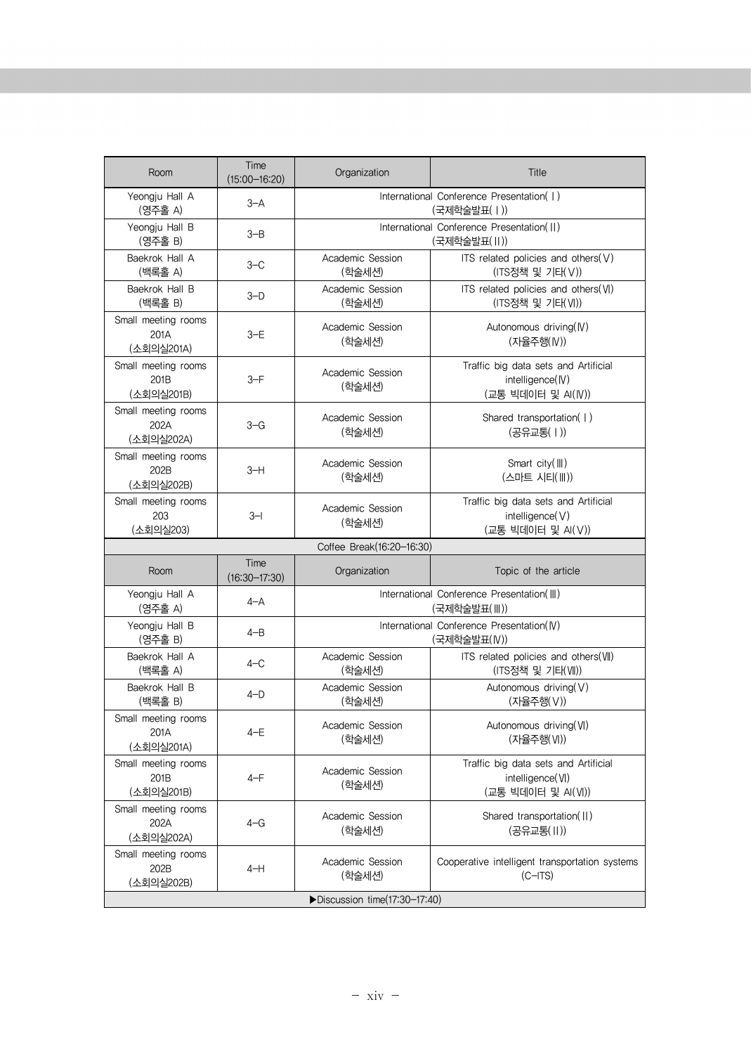| Room                                                  | Time<br>$(15:00 - 16:20)$ | Organization                                              | Title                                                                          |
|-------------------------------------------------------|---------------------------|-----------------------------------------------------------|--------------------------------------------------------------------------------|
| Yeongju Hall A<br>(영주홀 A)                             | $3 - A$                   | International Conference Presentation(  )<br>(국제학술발표( ))  |                                                                                |
| Yeongju Hall B<br>(영주홀 B)                             | $3 - B$                   |                                                           | International Conference Presentation(II)<br>(국제학술발표(Ⅱ))                       |
| Baekrok Hall A<br>(백록홀 A)                             | $3 - C$                   | Academic Session<br>(학술세션)                                | ITS related policies and others $(V)$<br>(ITS정책 및 기타(V))                       |
| Baekrok Hall B<br>(백록홀 B)                             | $3-D$                     | Academic Session<br>(학술세션)                                | ITS related policies and others(VI)<br>(ITS정책 및 기타(VI))                        |
| Small meeting rooms<br>201A<br>(소회의실201A)             | $3-E$                     | Academic Session<br>(학술세션)                                | Autonomous driving(IV)<br>(자율주행(IV))                                           |
| Small meeting rooms<br>201B<br>(소회의실201B)             | $3-F$                     | Academic Session<br>(학술세션)                                | Traffic big data sets and Artificial<br>intelligence(IV)<br>(교통 빅데이터 및 AI(IV)) |
| Small meeting rooms<br>202A<br>(소회의실202A)             | $3 - G$                   | Academic Session<br>(학술세션)                                | Shared transportation(  )<br>(공유교통(Ⅰ))                                         |
| Small meeting rooms<br>202B<br>(소회의실202B)             | $3-H$                     | Academic Session<br>(학술세션)                                | Smart city(III)<br>(스마트 시티(Ⅲ))                                                 |
| Small meeting rooms<br>203<br>(소회의실203)               | $3 - 1$                   | Academic Session<br>(학술세션)                                | Traffic big data sets and Artificial<br>intelligence(V)<br>(교통 빅데이터 및 AI(V))   |
|                                                       |                           | Coffee Break(16:20-16:30)                                 |                                                                                |
| Room                                                  | Time<br>$(16:30 - 17:30)$ | Organization                                              | Topic of the article                                                           |
| Yeongju Hall A<br>(영주홀 A)                             | $4 - A$                   |                                                           | International Conference Presentation(III)<br>(국제학술발표(Ⅲ))                      |
| Yeongju Hall B<br>(영주홀 B)                             | $4 - B$                   | International Conference Presentation(IV)<br>(국제학술발표(IV)) |                                                                                |
| Baekrok Hall A<br>(백록홀 A)                             | $4-C$                     | Academic Session<br>(학술세션)                                | ITS related policies and others(VII)<br>(ITS정책 및 기타(VII))                      |
| Baekrok Hall B<br>(백록홀 B)                             | $4-D$                     | Academic Session<br>(학술세션)                                | Autonomous driving(V)<br>(자율주행(V))                                             |
| Small meeting rooms<br>201A<br>(소회의실201A)             | $4-E$                     | Academic Session<br>(학술세션)                                | Autonomous driving(VI)<br>(자율주행(VI))                                           |
| Small meeting rooms<br>201 <sub>B</sub><br>(소회의실201B) | 4-F                       | Academic Session<br>(학술세션)                                | Traffic big data sets and Artificial<br>intelligence(VI)<br>(교통 빅데이터 및 AI(VI)) |
| Small meeting rooms<br>202A<br>(소회의실202A)             | $4 - G$                   | Academic Session<br>(학술세션)                                | Shared transportation(II)<br>(공유교통(II))                                        |
|                                                       |                           |                                                           |                                                                                |
| Small meeting rooms<br>202B<br>(소회의실202B)             | $4-H$                     | Academic Session<br>(학술세션)                                | Cooperative intelligent transportation systems<br>$(C-ITS)$                    |